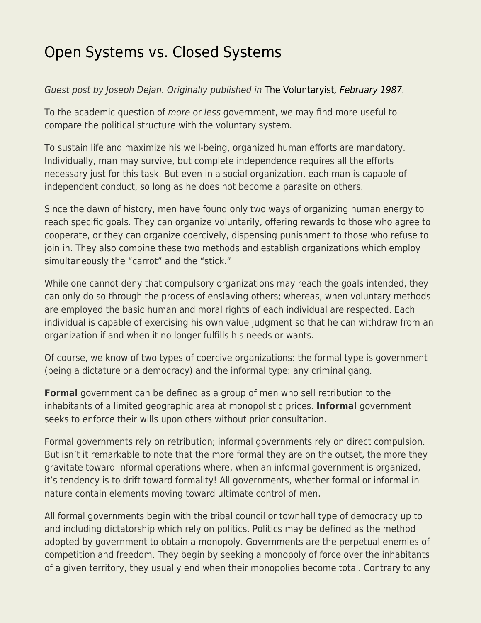## [Open Systems vs. Closed Systems](https://everything-voluntary.com/open-systems-vs-closed-systems)

## Guest post by Joseph Dejan. Originally published in [The Voluntaryist](http://voluntaryist.com/backissues/024.pdf)[, February 1987.](http://voluntaryist.com/backissues/024.pdf)

To the academic question of more or less government, we may find more useful to compare the political structure with the voluntary system.

To sustain life and maximize his well-being, organized human efforts are mandatory. Individually, man may survive, but complete independence requires all the efforts necessary just for this task. But even in a social organization, each man is capable of independent conduct, so long as he does not become a parasite on others.

Since the dawn of history, men have found only two ways of organizing human energy to reach specific goals. They can organize voluntarily, offering rewards to those who agree to cooperate, or they can organize coercively, dispensing punishment to those who refuse to join in. They also combine these two methods and establish organizations which employ simultaneously the "carrot" and the "stick."

While one cannot deny that compulsory organizations may reach the goals intended, they can only do so through the process of enslaving others; whereas, when voluntary methods are employed the basic human and moral rights of each individual are respected. Each individual is capable of exercising his own value judgment so that he can withdraw from an organization if and when it no longer fulfills his needs or wants.

Of course, we know of two types of coercive organizations: the formal type is government (being a dictature or a democracy) and the informal type: any criminal gang.

**Formal** government can be defined as a group of men who sell retribution to the inhabitants of a limited geographic area at monopolistic prices. **Informal** government seeks to enforce their wills upon others without prior consultation.

Formal governments rely on retribution; informal governments rely on direct compulsion. But isn't it remarkable to note that the more formal they are on the outset, the more they gravitate toward informal operations where, when an informal government is organized, it's tendency is to drift toward formality! All governments, whether formal or informal in nature contain elements moving toward ultimate control of men.

All formal governments begin with the tribal council or townhall type of democracy up to and including dictatorship which rely on politics. Politics may be defined as the method adopted by government to obtain a monopoly. Governments are the perpetual enemies of competition and freedom. They begin by seeking a monopoly of force over the inhabitants of a given territory, they usually end when their monopolies become total. Contrary to any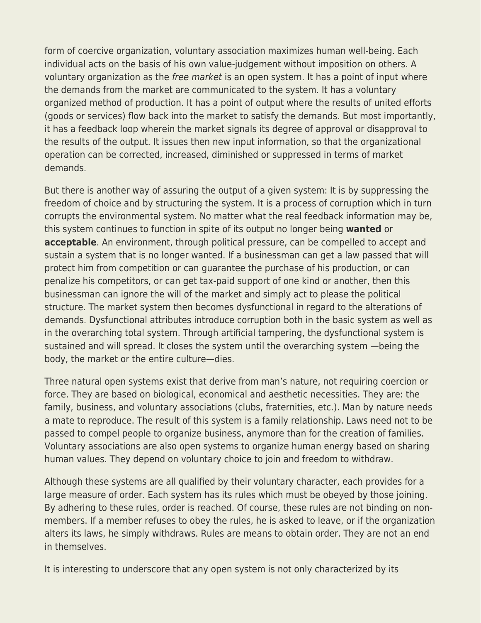form of coercive organization, voluntary association maximizes human well-being. Each individual acts on the basis of his own value-judgement without imposition on others. A voluntary organization as the free market is an open system. It has a point of input where the demands from the market are communicated to the system. It has a voluntary organized method of production. It has a point of output where the results of united efforts (goods or services) flow back into the market to satisfy the demands. But most importantly, it has a feedback loop wherein the market signals its degree of approval or disapproval to the results of the output. It issues then new input information, so that the organizational operation can be corrected, increased, diminished or suppressed in terms of market demands.

But there is another way of assuring the output of a given system: It is by suppressing the freedom of choice and by structuring the system. It is a process of corruption which in turn corrupts the environmental system. No matter what the real feedback information may be, this system continues to function in spite of its output no longer being **wanted** or **acceptable**. An environment, through political pressure, can be compelled to accept and sustain a system that is no longer wanted. If a businessman can get a law passed that will protect him from competition or can guarantee the purchase of his production, or can penalize his competitors, or can get tax-paid support of one kind or another, then this businessman can ignore the will of the market and simply act to please the political structure. The market system then becomes dysfunctional in regard to the alterations of demands. Dysfunctional attributes introduce corruption both in the basic system as well as in the overarching total system. Through artificial tampering, the dysfunctional system is sustained and will spread. It closes the system until the overarching system —being the body, the market or the entire culture—dies.

Three natural open systems exist that derive from man's nature, not requiring coercion or force. They are based on biological, economical and aesthetic necessities. They are: the family, business, and voluntary associations (clubs, fraternities, etc.). Man by nature needs a mate to reproduce. The result of this system is a family relationship. Laws need not to be passed to compel people to organize business, anymore than for the creation of families. Voluntary associations are also open systems to organize human energy based on sharing human values. They depend on voluntary choice to join and freedom to withdraw.

Although these systems are all qualified by their voluntary character, each provides for a large measure of order. Each system has its rules which must be obeyed by those joining. By adhering to these rules, order is reached. Of course, these rules are not binding on nonmembers. If a member refuses to obey the rules, he is asked to leave, or if the organization alters its laws, he simply withdraws. Rules are means to obtain order. They are not an end in themselves.

It is interesting to underscore that any open system is not only characterized by its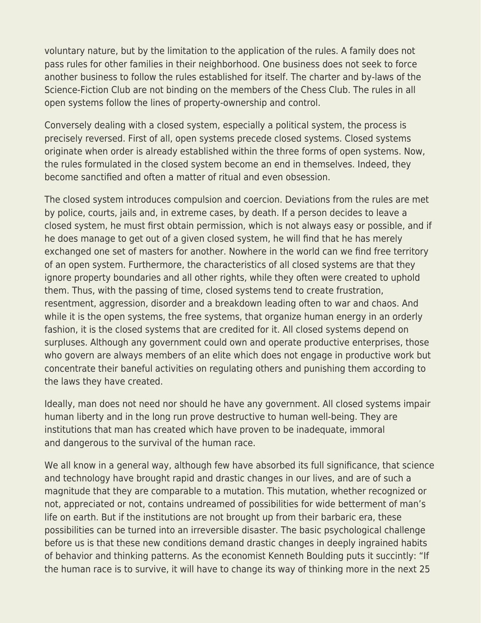voluntary nature, but by the limitation to the application of the rules. A family does not pass rules for other families in their neighborhood. One business does not seek to force another business to follow the rules established for itself. The charter and by-laws of the Science-Fiction Club are not binding on the members of the Chess Club. The rules in all open systems follow the lines of property-ownership and control.

Conversely dealing with a closed system, especially a political system, the process is precisely reversed. First of all, open systems precede closed systems. Closed systems originate when order is already established within the three forms of open systems. Now, the rules formulated in the closed system become an end in themselves. Indeed, they become sanctified and often a matter of ritual and even obsession.

The closed system introduces compulsion and coercion. Deviations from the rules are met by police, courts, jails and, in extreme cases, by death. If a person decides to leave a closed system, he must first obtain permission, which is not always easy or possible, and if he does manage to get out of a given closed system, he will find that he has merely exchanged one set of masters for another. Nowhere in the world can we find free territory of an open system. Furthermore, the characteristics of all closed systems are that they ignore property boundaries and all other rights, while they often were created to uphold them. Thus, with the passing of time, closed systems tend to create frustration, resentment, aggression, disorder and a breakdown leading often to war and chaos. And while it is the open systems, the free systems, that organize human energy in an orderly fashion, it is the closed systems that are credited for it. All closed systems depend on surpluses. Although any government could own and operate productive enterprises, those who govern are always members of an elite which does not engage in productive work but concentrate their baneful activities on regulating others and punishing them according to the laws they have created.

Ideally, man does not need nor should he have any government. All closed systems impair human liberty and in the long run prove destructive to human well-being. They are institutions that man has created which have proven to be inadequate, immoral and dangerous to the survival of the human race.

We all know in a general way, although few have absorbed its full significance, that science and technology have brought rapid and drastic changes in our lives, and are of such a magnitude that they are comparable to a mutation. This mutation, whether recognized or not, appreciated or not, contains undreamed of possibilities for wide betterment of man's life on earth. But if the institutions are not brought up from their barbaric era, these possibilities can be turned into an irreversible disaster. The basic psychological challenge before us is that these new conditions demand drastic changes in deeply ingrained habits of behavior and thinking patterns. As the economist Kenneth Boulding puts it succintly: "If the human race is to survive, it will have to change its way of thinking more in the next 25